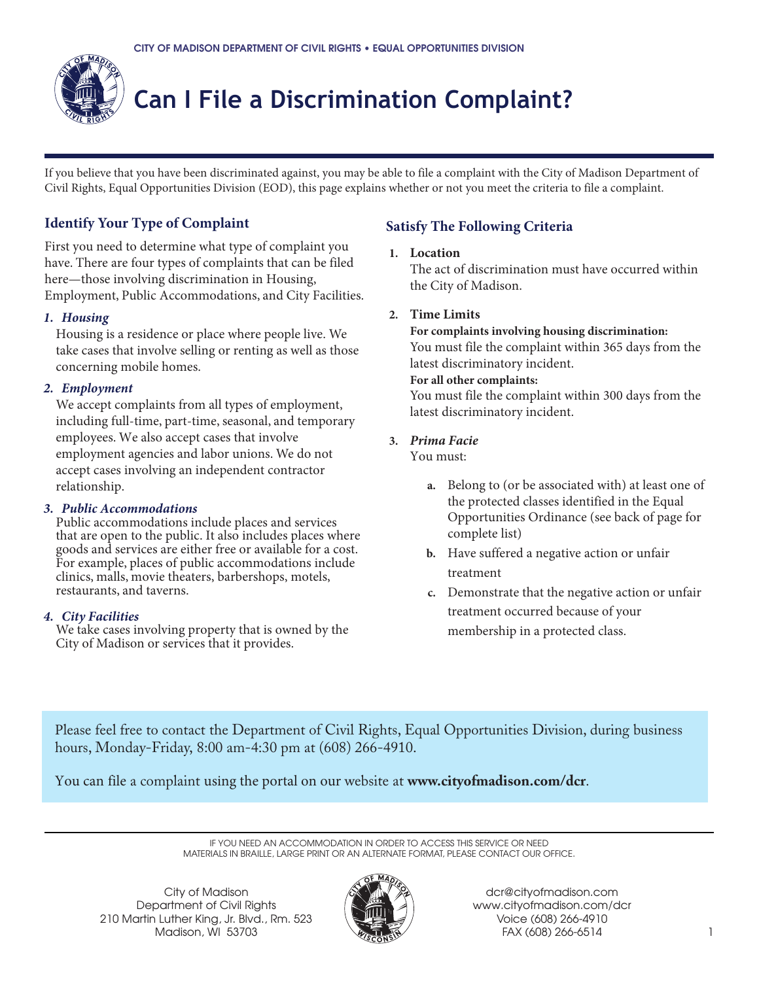

# **Can I File a Discrimination Complaint?**

If you believe that you have been discriminated against, you may be able to file a complaint with the City of Madison Department of Civil Rights, Equal Opportunities Division (EOD), this page explains whether or not you meet the criteria to file a complaint.

### **Identify Your Type of Complaint**

First you need to determine what type of complaint you have. There are four types of complaints that can be filed here—those involving discrimination in Housing, Employment, Public Accommodations, and City Facilities.

#### *1. Housing*

Housing is a residence or place where people live. We take cases that involve selling or renting as well as those concerning mobile homes.

#### *2. Employment*

We accept complaints from all types of employment, including full-time, part-time, seasonal, and temporary employees. We also accept cases that involve employment agencies and labor unions. We do not accept cases involving an independent contractor relationship.

#### *3. Public Accommodations*

Public accommodations include places and services that are open to the public. It also includes places where goods and services are either free or available for a cost. For example, places of public accommodations include clinics, malls, movie theaters, barbershops, motels, restaurants, and taverns.

#### *4. City Facilities*

We take cases involving property that is owned by the City of Madison or services that it provides.

### **Satisfy The Following Criteria**

#### **1. Location**

The act of discrimination must have occurred within the City of Madison.

#### **2. Time Limits**

**For complaints involving housing discrimination:** You must file the complaint within 365 days from the latest discriminatory incident.

#### **For all other complaints:**

You must file the complaint within 300 days from the latest discriminatory incident.

#### **3.** *Prima Facie*

You must:

- **a.** Belong to (or be associated with) at least one of the protected classes identified in the Equal Opportunities Ordinance (see back of page for complete list)
- **b.** Have suffered a negative action or unfair treatment
- **c.** Demonstrate that the negative action or unfair treatment occurred because of your membership in a protected class.

Please feel free to contact the Department of Civil Rights, Equal Opportunities Division, during business hours, Monday-Friday, 8:00 am-4:30 pm at (608) 266-4910.

You can file a complaint using the portal on our website at **www.cityofmadison.com/dcr**.

IF YOU NEED AN ACCOMMODATION IN ORDER TO ACCESS THIS SERVICE OR NEED MATERIALS IN BRAILLE, LARGE PRINT OR AN ALTERNATE FORMAT, PLEASE CONTACT OUR OFFICE.

City of Madison Department of Civil Rights 210 Martin Luther King, Jr. Blvd., Rm. 523 Madison, WI 53703



dcr@cityofmadison.com www.cityofmadison.com/dcr Voice (608) 266-4910 FAX (608) 266-6514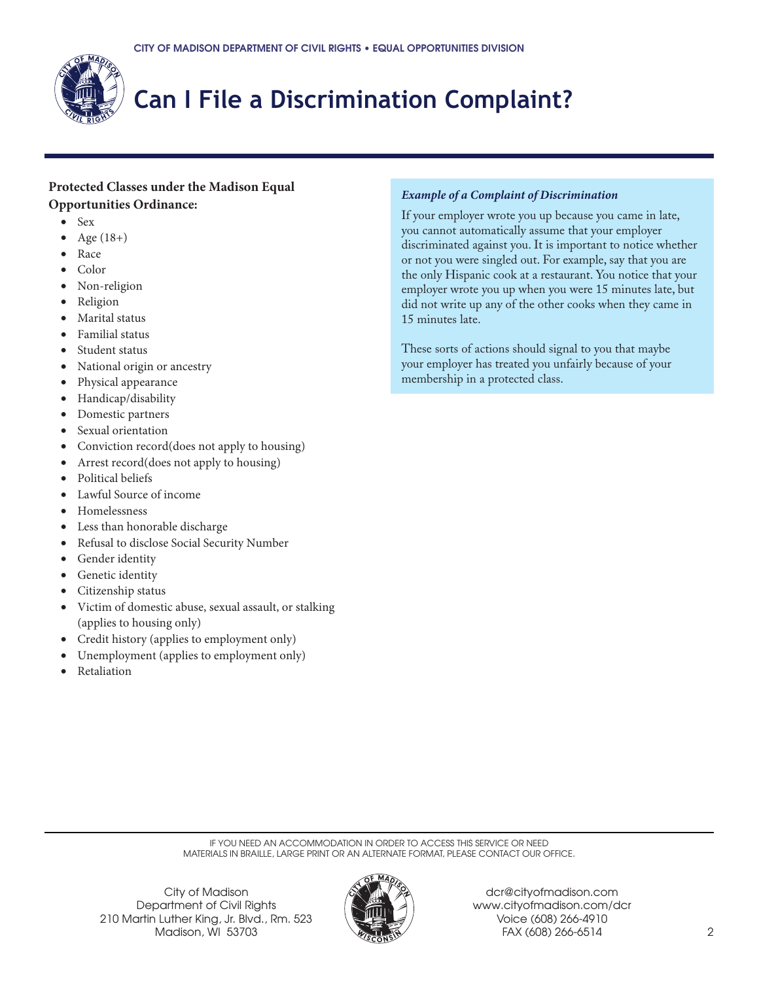

# **Can I File a Discrimination Complaint?**

#### **Protected Classes under the Madison Equal Opportunities Ordinance:**

- Sex
- Age  $(18+)$
- Race
- Color
- Non-religion
- Religion
- Marital status
- Familial status
- Student status
- National origin or ancestry
- Physical appearance
- Handicap/disability
- Domestic partners
- Sexual orientation
- Conviction record(does not apply to housing)
- Arrest record(does not apply to housing)
- Political beliefs
- Lawful Source of income
- Homelessness
- Less than honorable discharge
- Refusal to disclose Social Security Number
- Gender identity
- Genetic identity
- Citizenship status
- Victim of domestic abuse, sexual assault, or stalking (applies to housing only)
- Credit history (applies to employment only)
- Unemployment (applies to employment only)
- **Retaliation**

#### *Example of a Complaint of Discrimination*

If your employer wrote you up because you came in late, you cannot automatically assume that your employer discriminated against you. It is important to notice whether or not you were singled out. For example, say that you are the only Hispanic cook at a restaurant. You notice that your employer wrote you up when you were 15 minutes late, but did not write up any of the other cooks when they came in 15 minutes late.

These sorts of actions should signal to you that maybe your employer has treated you unfairly because of your membership in a protected class.

IF YOU NEED AN ACCOMMODATION IN ORDER TO ACCESS THIS SERVICE OR NEED MATERIALS IN BRAILLE, LARGE PRINT OR AN ALTERNATE FORMAT, PLEASE CONTACT OUR OFFICE.

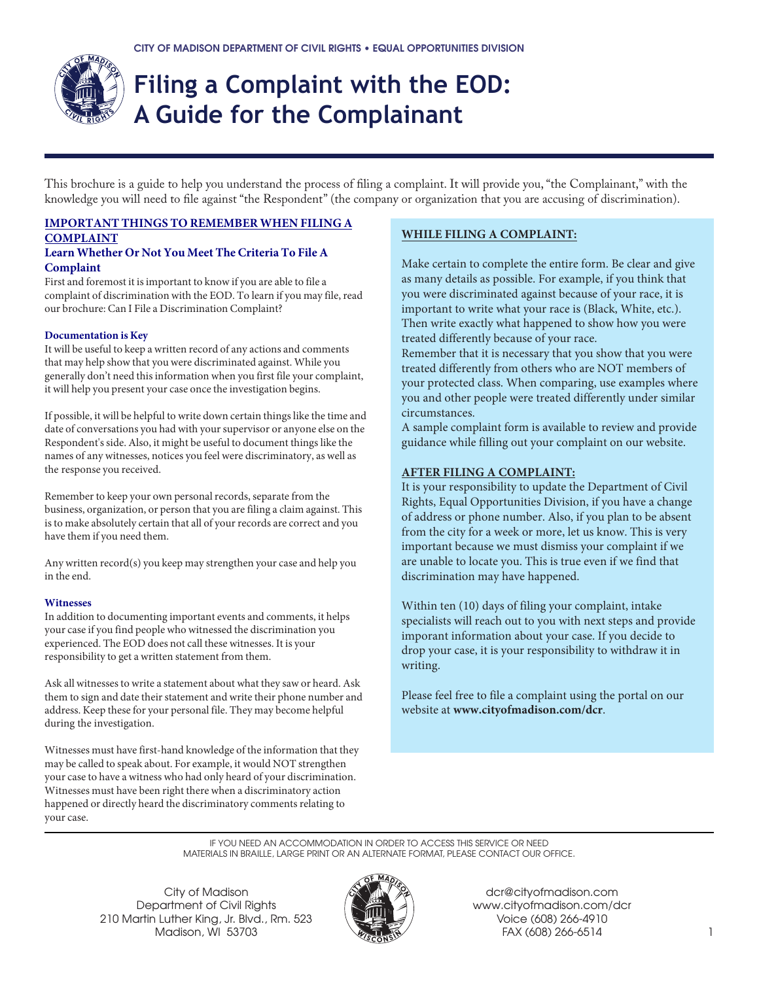

# **Filing a Complaint with the EOD: A Guide for the Complainant**

This brochure is a guide to help you understand the process of filing a complaint. It will provide you, "the Complainant," with the knowledge you will need to file against "the Respondent" (the company or organization that you are accusing of discrimination).

### **IMPORTANT THINGS TO REMEMBER WHEN FILING A COMPLAINT**

#### **Learn Whether Or Not You Meet The Criteria To File A Complaint**

First and foremost it is important to know if you are able to file a complaint of discrimination with the EOD. To learn if you may file, read our brochure: Can I File a Discrimination Complaint?

#### **Documentation is Key**

It will be useful to keep a written record of any actions and comments that may help show that you were discriminated against. While you generally don't need this information when you first file your complaint, it will help you present your case once the investigation begins.

If possible, it will be helpful to write down certain things like the time and date of conversations you had with your supervisor or anyone else on the Respondent's side. Also, it might be useful to document things like the names of any witnesses, notices you feel were discriminatory, as well as the response you received.

Remember to keep your own personal records, separate from the business, organization, or person that you are filing a claim against. This is to make absolutely certain that all of your records are correct and you have them if you need them.

Any written record(s) you keep may strengthen your case and help you in the end.

#### **Witnesses**

In addition to documenting important events and comments, it helps your case if you find people who witnessed the discrimination you experienced. The EOD does not call these witnesses. It is your responsibility to get a written statement from them.

Ask all witnesses to write a statement about what they saw or heard. Ask them to sign and date their statement and write their phone number and address. Keep these for your personal file. They may become helpful during the investigation.

Witnesses must have first-hand knowledge of the information that they may be called to speak about. For example, it would NOT strengthen your case to have a witness who had only heard of your discrimination. Witnesses must have been right there when a discriminatory action happened or directly heard the discriminatory comments relating to your case.

#### **WHILE FILING A COMPLAINT:**

Make certain to complete the entire form. Be clear and give as many details as possible. For example, if you think that you were discriminated against because of your race, it is important to write what your race is (Black, White, etc.). Then write exactly what happened to show how you were treated differently because of your race.

Remember that it is necessary that you show that you were treated differently from others who are NOT members of your protected class. When comparing, use examples where you and other people were treated differently under similar circumstances.

A sample complaint form is available to review and provide guidance while filling out your complaint on our website.

#### **AFTER FILING A COMPLAINT:**

It is your responsibility to update the Department of Civil Rights, Equal Opportunities Division, if you have a change of address or phone number. Also, if you plan to be absent from the city for a week or more, let us know. This is very important because we must dismiss your complaint if we are unable to locate you. This is true even if we find that discrimination may have happened.

Within ten (10) days of filing your complaint, intake specialists will reach out to you with next steps and provide imporant information about your case. If you decide to drop your case, it is your responsibility to withdraw it in writing.

Please feel free to file a complaint using the portal on our website at **www.cityofmadison.com/dcr**.

IF YOU NEED AN ACCOMMODATION IN ORDER TO ACCESS THIS SERVICE OR NEED MATERIALS IN BRAILLE, LARGE PRINT OR AN ALTERNATE FORMAT, PLEASE CONTACT OUR OFFICE.

City of Madison Department of Civil Rights 210 Martin Luther King, Jr. Blvd., Rm. 523 Madison, WI 53703



dcr@cityofmadison.com www.cityofmadison.com/dcr Voice (608) 266-4910 FAX (608) 266-6514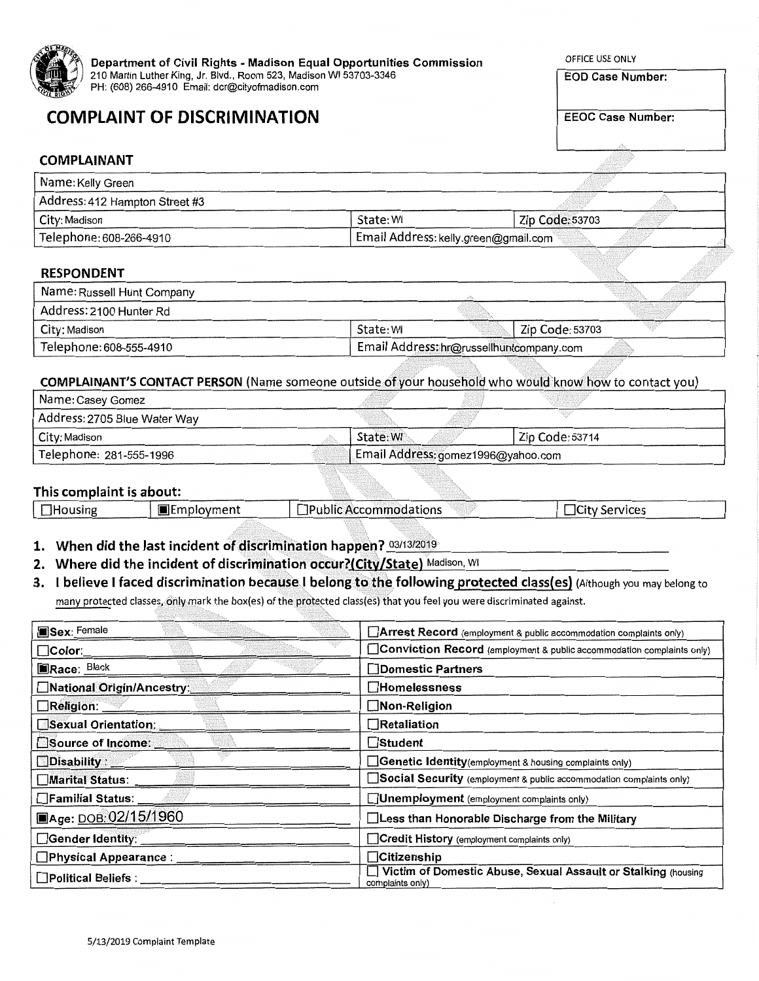

## **COMPLAINT OF DISCRIMINATION**

OFFICE USE ONLY

**EOD Case Number:** 

**EEOC Case Number:** 

#### **COMPLAINANT**

| Name: Kelly Green              |                                         | <b>Controlled Ave.</b>          |                                         |  |
|--------------------------------|-----------------------------------------|---------------------------------|-----------------------------------------|--|
| Address: 412 Hampton Street #3 |                                         | The company of the state second | an an<br>a con class seconds some state |  |
| City: Madison                  | State: WI                               | Zip Code: 53703                 | <b>Call Montgomers</b><br>A Marie Areas |  |
| . Telephone: 608-266-4910      | ∣ Email Address: kelly.green@gmail.com™ |                                 |                                         |  |

#### **RESPONDENT**

| Name: Russell Hunt Company |                                          |                 | area president<br>. |  |
|----------------------------|------------------------------------------|-----------------|---------------------|--|
| . Address: 2100 Hunter Rd  |                                          |                 |                     |  |
| City: Madison              | State: WI                                | Zip Code: 53703 |                     |  |
| Telephone: 608-555-4910    | Email Address: hr@russellhuntcompany.com |                 |                     |  |

#### COMPLAINANT'S CONTACT PERSON (Name someone outside of your household who would know how to contact you)

| Telephone: 281-555-1996      | Email Address: gomez1996@yahoo.com<br>will be a series |                   |                                        |                 |  |
|------------------------------|--------------------------------------------------------|-------------------|----------------------------------------|-----------------|--|
| City: Madison                |                                                        | State: WI         | <b>Contract Communication</b>          | Zip Code: 53714 |  |
| Address: 2705 Blue Water Way |                                                        | <b>CONTRACTOR</b> | <u>Alian I</u><br><b>LESSEN MARKET</b> |                 |  |
| Name: Casey Gomez            |                                                        |                   |                                        |                 |  |

#### This complaint is about:

| <b>Housing</b> | llEmplovment | $\cdots$<br>IPublic.<br>: Accommodations | Services<br>ILITV. |
|----------------|--------------|------------------------------------------|--------------------|
|                |              |                                          |                    |

#### 1. When did the last incident of discrimination happen? 03/13/2019

2. Where did the incident of discrimination occur?(City/State) Madison, WI

### 3. I believe I faced discrimination because I belong to the following protected class(es) (Although you may belong to

many protected classes, only mark the box(es) of the protected class(es) that you feel you were discriminated against.

| Sex: Female                    | Arrest Record (employment & public accommodation complaints only)                 |
|--------------------------------|-----------------------------------------------------------------------------------|
| $\Box$ Color:                  | Conviction Record (employment & public accommodation complaints only)             |
| Race: Black                    | <b>□Domestic Partners</b>                                                         |
| □National Origin/Ancestry      | $\Box$ Homelessness                                                               |
| Religion: <b>William</b>       | $\Box$ Non-Religion                                                               |
| Sexual Orientation:            | Retaliation                                                                       |
| Source of Income:              | ⊟Student                                                                          |
| Disability: 2007               | Genetic Identity (employment & housing complaints only)                           |
| Marital Status: ___            | Social Security (employment & public accommodation complaints only)               |
|                                | Unemployment (employment complaints only)                                         |
| ■Age: DOB: 02/15/1960          | □Less than Honorable Discharge from the Military                                  |
| $\Box$ Gender Identity: ______ | Credit History (employment complaints only)                                       |
| □Physical Appearance : ___     | <b>Citizenship</b>                                                                |
| Political Beliefs :            | Victim of Domestic Abuse, Sexual Assault or Stalking (housing<br>complaints only) |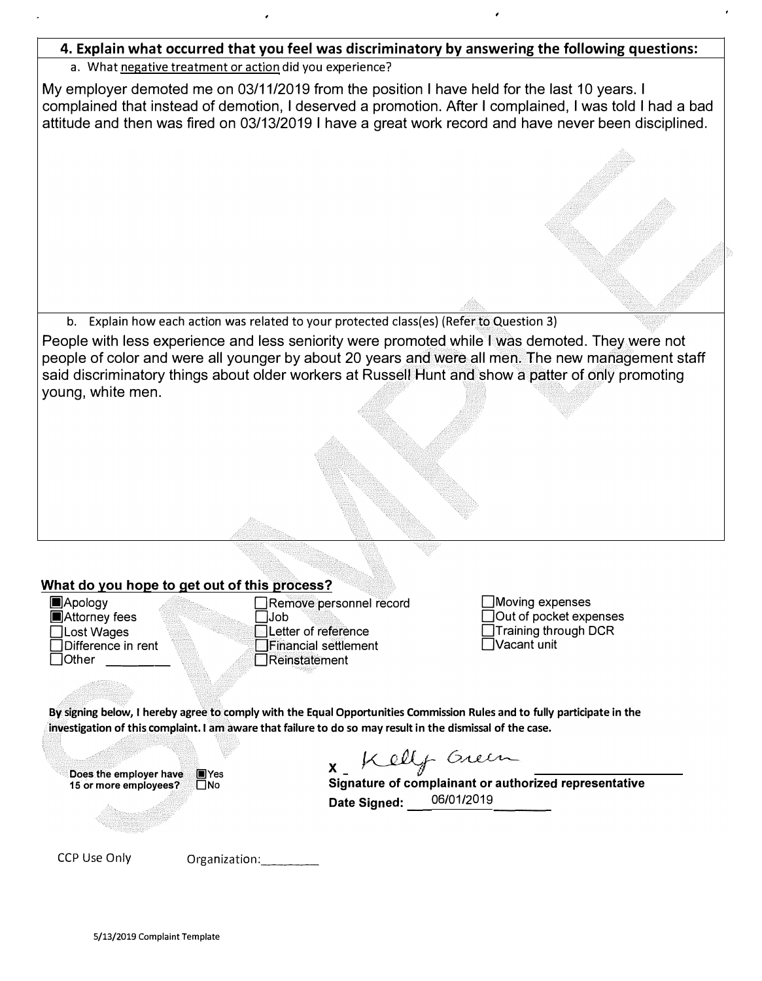#### **4. Explain what occurred that you feel was discriminatory by answering the following questions:**

#### a. What negative treatment or action did you experience?

My employer demoted me on 03/11/2019 from the position I have held for the last 10 years. I complained that instead of demotion, I deserved a promotion. After I complained, I was told I had a bad attitude and then was fired on 03/13/2019 I have a great work record and have never been disciplined.

b. Explain how each action was related to your protected class(es) (Refer to Question 3)

People with less experience and less seniority were promoted while I was demoted. They were not people of color and were all younger by about 20 years and were all men. The new management staff said discriminatory things about older workers at Russell Hunt and show a patter of only promoting young, white men.

#### **What do you hope to get out of this process?**

**lackmey** fees<br>□Lost Wages

**li]Apology** □Remove personnel record □ Lost Wages □Letter of reference □Difference in rent □Financial settlement □Reinstatement

·.

□Moving expenses □Out of pocket expenses □Training through OCR □Vacant unit

**By signing below, I hereby agree to comply with the Equal Opportunities Commission Rules and to fully participate in the investigation of this complaint. I am aware that failure to do so may result in the dismissal of the case.** 

**Does the employer have ██Yes<br>15 or more emplovees? ██ No** 15 or more employees?

*�i- DA .. V.,;�* **x\_** *il* 

**Signature of complainant or authorized representative Date Signed:** 06/01/2019

CCP Use Only **Organization:**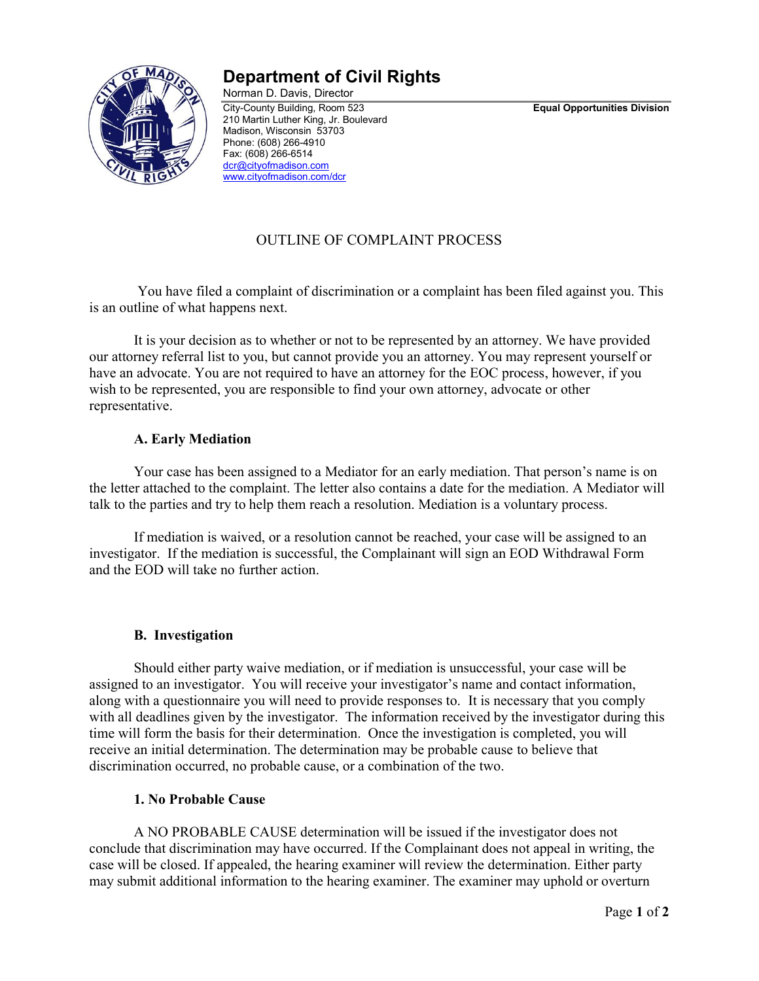

## **Department of Civil Rights**

Norman D. Davis, Director City-County Building, Room 523 **Equal Opportunities Division** 210 Martin Luther King, Jr. Boulevard Madison, Wisconsin 53703 Phone: (608) 266-4910 Fax: (608) 266-6514 [dcr@cityofmadison.com](mailto:dcr@cityofmadison.com) [www.cityofmadison.com/dcr](http://www.cityofmadison.com/dcr)

### OUTLINE OF COMPLAINT PROCESS

You have filed a complaint of discrimination or a complaint has been filed against you. This is an outline of what happens next.

It is your decision as to whether or not to be represented by an attorney. We have provided our attorney referral list to you, but cannot provide you an attorney. You may represent yourself or have an advocate. You are not required to have an attorney for the EOC process, however, if you wish to be represented, you are responsible to find your own attorney, advocate or other representative.

#### **A. Early Mediation**

Your case has been assigned to a Mediator for an early mediation. That person's name is on the letter attached to the complaint. The letter also contains a date for the mediation. A Mediator will talk to the parties and try to help them reach a resolution. Mediation is a voluntary process.

If mediation is waived, or a resolution cannot be reached, your case will be assigned to an investigator. If the mediation is successful, the Complainant will sign an EOD Withdrawal Form and the EOD will take no further action.

#### **B. Investigation**

Should either party waive mediation, or if mediation is unsuccessful, your case will be assigned to an investigator. You will receive your investigator's name and contact information, along with a questionnaire you will need to provide responses to. It is necessary that you comply with all deadlines given by the investigator. The information received by the investigator during this time will form the basis for their determination. Once the investigation is completed, you will receive an initial determination. The determination may be probable cause to believe that discrimination occurred, no probable cause, or a combination of the two.

#### **1. No Probable Cause**

A NO PROBABLE CAUSE determination will be issued if the investigator does not conclude that discrimination may have occurred. If the Complainant does not appeal in writing, the case will be closed. If appealed, the hearing examiner will review the determination. Either party may submit additional information to the hearing examiner. The examiner may uphold or overturn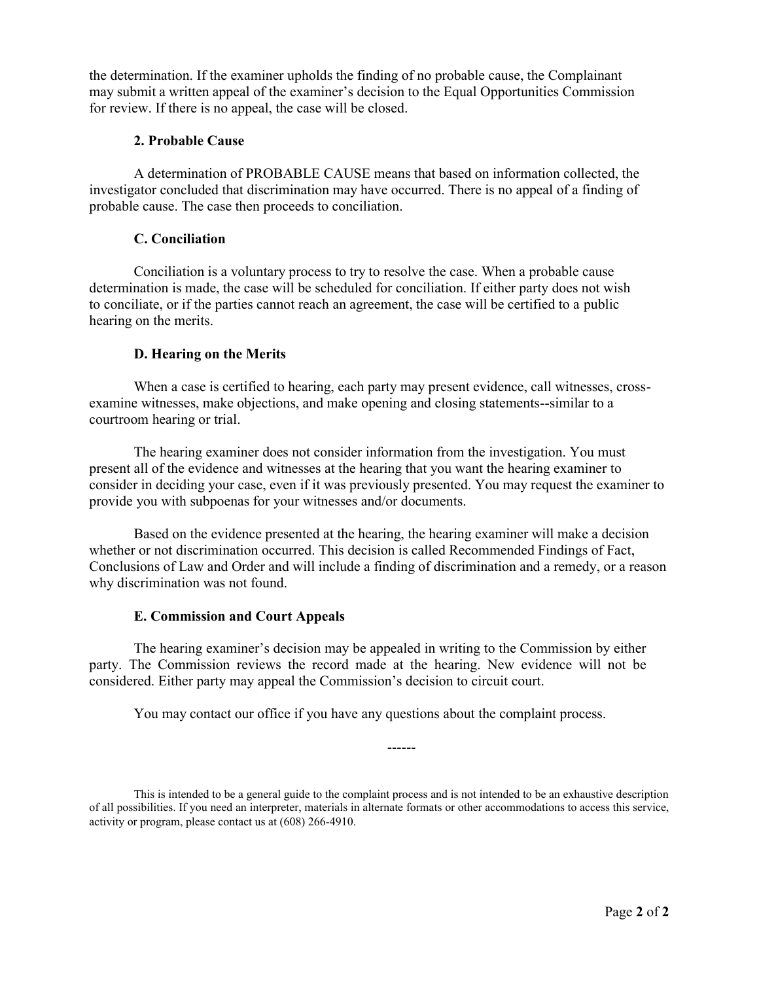the determination. If the examiner upholds the finding of no probable cause, the Complainant may submit a written appeal of the examiner's decision to the Equal Opportunities Commission for review. If there is no appeal, the case will be closed.

#### **2. Probable Cause**

A determination of PROBABLE CAUSE means that based on information collected, the investigator concluded that discrimination may have occurred. There is no appeal of a finding of probable cause. The case then proceeds to conciliation.

#### **C. Conciliation**

Conciliation is a voluntary process to try to resolve the case. When a probable cause determination is made, the case will be scheduled for conciliation. If either party does not wish to conciliate, or if the parties cannot reach an agreement, the case will be certified to a public hearing on the merits.

#### **D. Hearing on the Merits**

When a case is certified to hearing, each party may present evidence, call witnesses, crossexamine witnesses, make objections, and make opening and closing statements--similar to a courtroom hearing or trial.

The hearing examiner does not consider information from the investigation. You must present all of the evidence and witnesses at the hearing that you want the hearing examiner to consider in deciding your case, even if it was previously presented. You may request the examiner to provide you with subpoenas for your witnesses and/or documents.

Based on the evidence presented at the hearing, the hearing examiner will make a decision whether or not discrimination occurred. This decision is called Recommended Findings of Fact, Conclusions of Law and Order and will include a finding of discrimination and a remedy, or a reason why discrimination was not found.

#### **E. Commission and Court Appeals**

The hearing examiner's decision may be appealed in writing to the Commission by either party. The Commission reviews the record made at the hearing. New evidence will not be considered. Either party may appeal the Commission's decision to circuit court.

You may contact our office if you have any questions about the complaint process.

This is intended to be a general guide to the complaint process and is not intended to be an exhaustive description of all possibilities. If you need an interpreter, materials in alternate formats or other accommodations to access this service, activity or program, please contact us at (608) 266-4910.

------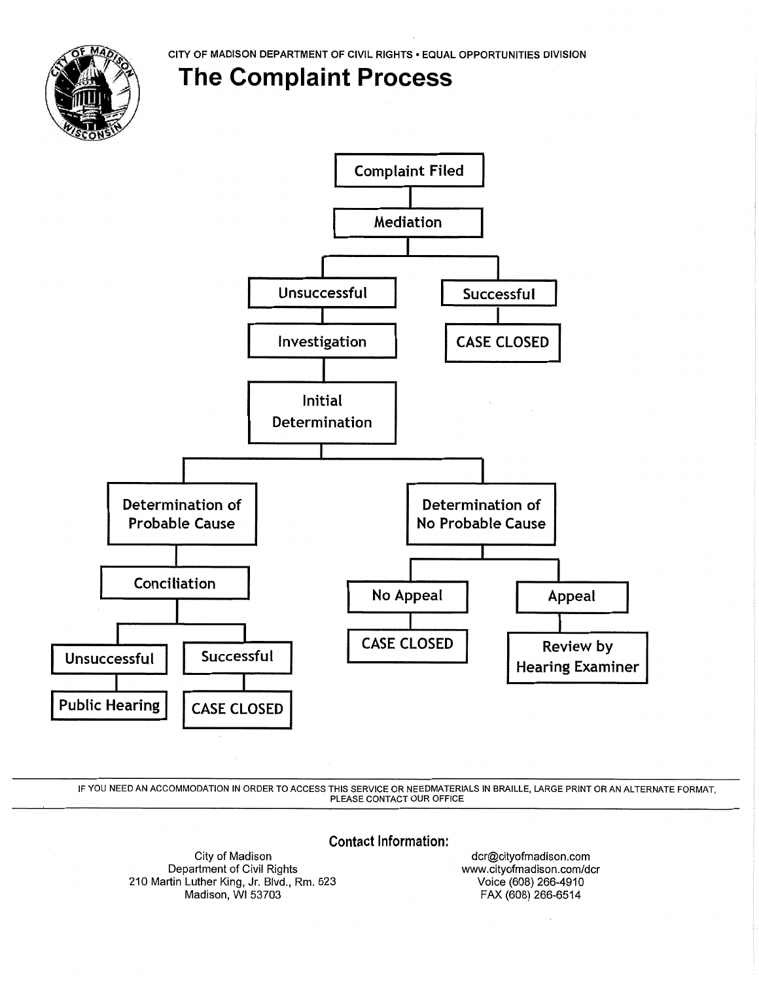CITY OF MADISON DEPARTMENT OF CIVIL RIGHTS . EQUAL OPPORTUNITIES DIVISION

# **The Complaint Process**



IF YOU NEED AN ACCOMMODATION IN ORDER TO ACCESS THIS SERVICE OR NEEDMATERIALS IN BRAILLE, LARGE PRINT OR AN ALTERNATE FORMAT, PLEASE CONTACT OUR OFFICE

**Contact Information:** 

City of Madison Department of Civil Rights 210 Martin Luther King, Jr. Blvd., Rm. 523 Madison, WI 53703

dcr@cityofmadison.com www.cityofmadison.com/dcr Voice (608) 266-4910 FAX (608) 266-6514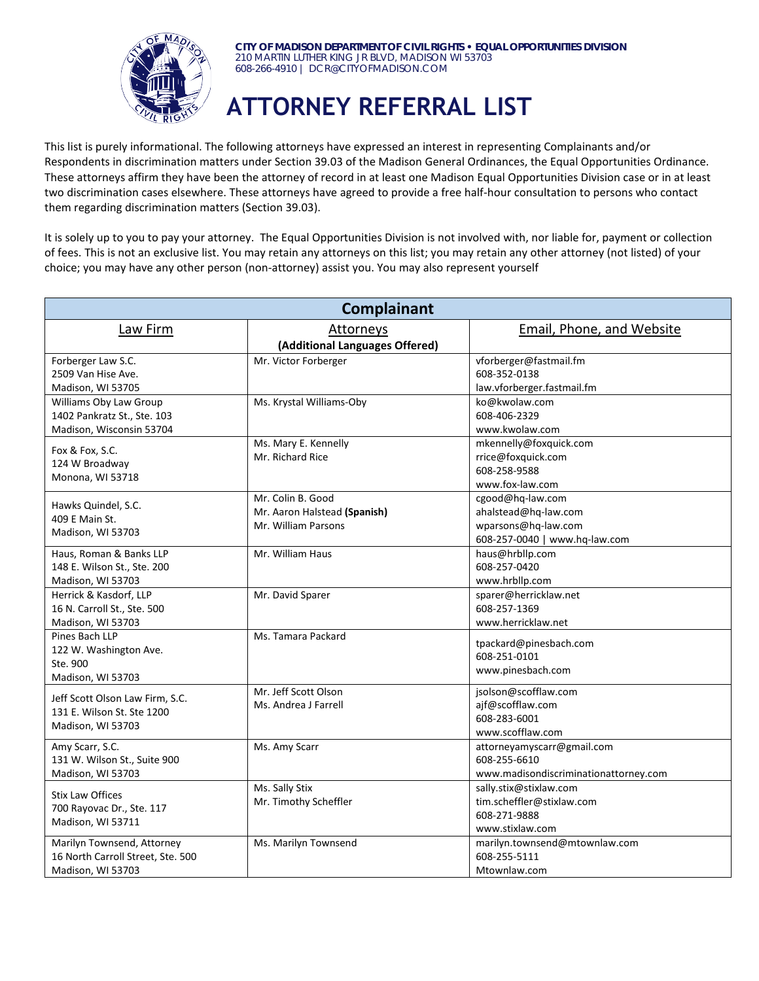

**CITY OF MADISON DEPARTMENT OF CIVIL RIGHTS • EQUAL OPPORTUNITIES DIVISION** 210 MARTIN LUTHER KING JR BLVD, MADISON WI 53703 608-266-4910 | DCR@CITYOFMADISON.COM

# **ATTORNEY REFERRAL LIST**

This list is purely informational. The following attorneys have expressed an interest in representing Complainants and/or Respondents in discrimination matters under Section 39.03 of the Madison General Ordinances, the Equal Opportunities Ordinance. These attorneys affirm they have been the attorney of record in at least one Madison Equal Opportunities Division case or in at least two discrimination cases elsewhere. These attorneys have agreed to provide a free half-hour consultation to persons who contact them regarding discrimination matters (Section 39.03).

It is solely up to you to pay your attorney. The Equal Opportunities Division is not involved with, nor liable for, payment or collection of fees. This is not an exclusive list. You may retain any attorneys on this list; you may retain any other attorney (not listed) of your choice; you may have any other person (non-attorney) assist you. You may also represent yourself

| <b>Email, Phone, and Website</b><br>Law Firm<br><b>Attorneys</b><br>(Additional Languages Offered)<br>Forberger Law S.C.<br>vforberger@fastmail.fm<br>Mr. Victor Forberger<br>2509 Van Hise Ave.<br>608-352-0138<br>law.vforberger.fastmail.fm<br>Madison, WI 53705<br>Williams Oby Law Group<br>Ms. Krystal Williams-Oby<br>ko@kwolaw.com<br>1402 Pankratz St., Ste. 103<br>608-406-2329<br>Madison, Wisconsin 53704<br>www.kwolaw.com<br>Ms. Mary E. Kennelly<br>mkennelly@foxquick.com<br>Fox & Fox, S.C.<br>Mr. Richard Rice<br>rrice@foxquick.com<br>124 W Broadway<br>608-258-9588<br>Monona, WI 53718 | Complainant |  |                 |  |
|--------------------------------------------------------------------------------------------------------------------------------------------------------------------------------------------------------------------------------------------------------------------------------------------------------------------------------------------------------------------------------------------------------------------------------------------------------------------------------------------------------------------------------------------------------------------------------------------------------------|-------------|--|-----------------|--|
|                                                                                                                                                                                                                                                                                                                                                                                                                                                                                                                                                                                                              |             |  |                 |  |
|                                                                                                                                                                                                                                                                                                                                                                                                                                                                                                                                                                                                              |             |  |                 |  |
|                                                                                                                                                                                                                                                                                                                                                                                                                                                                                                                                                                                                              |             |  |                 |  |
|                                                                                                                                                                                                                                                                                                                                                                                                                                                                                                                                                                                                              |             |  |                 |  |
|                                                                                                                                                                                                                                                                                                                                                                                                                                                                                                                                                                                                              |             |  |                 |  |
|                                                                                                                                                                                                                                                                                                                                                                                                                                                                                                                                                                                                              |             |  |                 |  |
|                                                                                                                                                                                                                                                                                                                                                                                                                                                                                                                                                                                                              |             |  |                 |  |
|                                                                                                                                                                                                                                                                                                                                                                                                                                                                                                                                                                                                              |             |  |                 |  |
|                                                                                                                                                                                                                                                                                                                                                                                                                                                                                                                                                                                                              |             |  |                 |  |
|                                                                                                                                                                                                                                                                                                                                                                                                                                                                                                                                                                                                              |             |  |                 |  |
|                                                                                                                                                                                                                                                                                                                                                                                                                                                                                                                                                                                                              |             |  |                 |  |
|                                                                                                                                                                                                                                                                                                                                                                                                                                                                                                                                                                                                              |             |  | www.fox-law.com |  |
| Mr. Colin B. Good<br>cgood@hq-law.com<br>Hawks Quindel, S.C.                                                                                                                                                                                                                                                                                                                                                                                                                                                                                                                                                 |             |  |                 |  |
| ahalstead@hq-law.com<br>Mr. Aaron Halstead (Spanish)<br>409 E Main St.                                                                                                                                                                                                                                                                                                                                                                                                                                                                                                                                       |             |  |                 |  |
| wparsons@hq-law.com<br>Mr. William Parsons<br>Madison, WI 53703                                                                                                                                                                                                                                                                                                                                                                                                                                                                                                                                              |             |  |                 |  |
| 608-257-0040   www.hq-law.com                                                                                                                                                                                                                                                                                                                                                                                                                                                                                                                                                                                |             |  |                 |  |
| Mr. William Haus<br>haus@hrbllp.com<br>Haus, Roman & Banks LLP                                                                                                                                                                                                                                                                                                                                                                                                                                                                                                                                               |             |  |                 |  |
| 608-257-0420<br>148 E. Wilson St., Ste. 200                                                                                                                                                                                                                                                                                                                                                                                                                                                                                                                                                                  |             |  |                 |  |
| www.hrbllp.com<br>Madison, WI 53703                                                                                                                                                                                                                                                                                                                                                                                                                                                                                                                                                                          |             |  |                 |  |
| sparer@herricklaw.net<br>Herrick & Kasdorf, LLP<br>Mr. David Sparer                                                                                                                                                                                                                                                                                                                                                                                                                                                                                                                                          |             |  |                 |  |
| 608-257-1369<br>16 N. Carroll St., Ste. 500                                                                                                                                                                                                                                                                                                                                                                                                                                                                                                                                                                  |             |  |                 |  |
| www.herricklaw.net<br>Madison, WI 53703                                                                                                                                                                                                                                                                                                                                                                                                                                                                                                                                                                      |             |  |                 |  |
| Pines Bach LLP<br>Ms. Tamara Packard<br>tpackard@pinesbach.com                                                                                                                                                                                                                                                                                                                                                                                                                                                                                                                                               |             |  |                 |  |
| 122 W. Washington Ave.<br>608-251-0101                                                                                                                                                                                                                                                                                                                                                                                                                                                                                                                                                                       |             |  |                 |  |
| Ste. 900<br>www.pinesbach.com                                                                                                                                                                                                                                                                                                                                                                                                                                                                                                                                                                                |             |  |                 |  |
| Madison, WI 53703<br>Mr. Jeff Scott Olson                                                                                                                                                                                                                                                                                                                                                                                                                                                                                                                                                                    |             |  |                 |  |
| jsolson@scofflaw.com<br>Jeff Scott Olson Law Firm, S.C.                                                                                                                                                                                                                                                                                                                                                                                                                                                                                                                                                      |             |  |                 |  |
| ajf@scofflaw.com<br>Ms. Andrea J Farrell<br>131 E. Wilson St. Ste 1200                                                                                                                                                                                                                                                                                                                                                                                                                                                                                                                                       |             |  |                 |  |
| 608-283-6001<br>Madison, WI 53703<br>www.scofflaw.com                                                                                                                                                                                                                                                                                                                                                                                                                                                                                                                                                        |             |  |                 |  |
| Amy Scarr, S.C.<br>Ms. Amy Scarr                                                                                                                                                                                                                                                                                                                                                                                                                                                                                                                                                                             |             |  |                 |  |
| attorneyamyscarr@gmail.com<br>608-255-6610<br>131 W. Wilson St., Suite 900                                                                                                                                                                                                                                                                                                                                                                                                                                                                                                                                   |             |  |                 |  |
| Madison, WI 53703<br>www.madisondiscriminationattorney.com                                                                                                                                                                                                                                                                                                                                                                                                                                                                                                                                                   |             |  |                 |  |
| Ms. Sally Stix<br>sally.stix@stixlaw.com                                                                                                                                                                                                                                                                                                                                                                                                                                                                                                                                                                     |             |  |                 |  |
| <b>Stix Law Offices</b><br>Mr. Timothy Scheffler<br>tim.scheffler@stixlaw.com                                                                                                                                                                                                                                                                                                                                                                                                                                                                                                                                |             |  |                 |  |
| 700 Rayovac Dr., Ste. 117<br>608-271-9888                                                                                                                                                                                                                                                                                                                                                                                                                                                                                                                                                                    |             |  |                 |  |
| Madison, WI 53711<br>www.stixlaw.com                                                                                                                                                                                                                                                                                                                                                                                                                                                                                                                                                                         |             |  |                 |  |
| Marilyn Townsend, Attorney<br>Ms. Marilyn Townsend<br>marilyn.townsend@mtownlaw.com                                                                                                                                                                                                                                                                                                                                                                                                                                                                                                                          |             |  |                 |  |
| 16 North Carroll Street, Ste. 500<br>608-255-5111                                                                                                                                                                                                                                                                                                                                                                                                                                                                                                                                                            |             |  |                 |  |
| Madison, WI 53703<br>Mtownlaw.com                                                                                                                                                                                                                                                                                                                                                                                                                                                                                                                                                                            |             |  |                 |  |